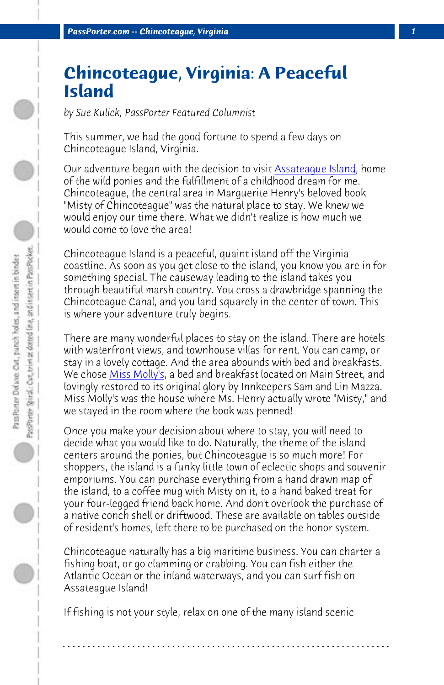*PassPorter.com -- Chincoteague, Virginia 1*

## **Chincoteague, Virginia: A Peaceful Island**

*by Sue Kulick, PassPorter Featured Columnist*

This summer, we had the good fortune to spend a few days on Chincoteague Island, Virginia.

Our adve[nture began w](http://www.missmollys-inn.com/)ith the decision to visit Assateague Island, home of the wild ponies and the fulfillment of a childhood dream for me. Chincoteague, the central area in Marguerite Henry's beloved book "Misty of Chincoteague" was the natural place to stay. We knew we would enjoy our time there. What we didn't realize is how much we would come to love the area!

Chincoteague Island is a peaceful, quaint island off the Virginia coastline. As soon as you get close to the island, you know you are in for something special. The causeway leading to the island takes you through beautiful marsh country. You cross a drawbridge spanning the Chincoteague Canal, and you land squarely in the center of town. This is where your adventure truly begins.

There are many wonderful places to stay on the island. There are hotels with waterfront views, and townhouse villas for rent. You can camp, or stay in a lovely cottage. And the area abounds with bed and breakfasts. We chose Miss Molly's, a bed and breakfast located on Main Street, and lovingly restored to its original glory by Innkeepers Sam and Lin Mazza. Miss Molly's was the house where Ms. Henry actually wrote "Misty," and we stayed in the room where the book was penned!

Once you make your decision about where to stay, you will need to decide what you would like to do. Naturally, the theme of the island centers around the ponies, but Chincoteague is so much more! For shoppers, the island is a funky little town of eclectic shops and souvenir emporiums. You can purchase everything from a hand drawn map of the island, to a coffee mug with Misty on it, to a hand baked treat for your four-legged friend back home. And don't overlook the purchase of a native conch shell or driftwood. These are available on tables outside of resident's homes, left there to be purchased on the honor system.

Chincoteague naturally has a big maritime business. You can charter a fishing boat, or go clamming or crabbing. You can fish either the Atlantic Ocean or the inland waterways, and you can surf fish on Assateague Island!

**. . . . . . . . . . . . . . . . . . . . . . . . . . . . . . . . . . . . . . . . . . . . . . . . . . . . . . . . . . . . . . . . . .**

If fishing is not your style, relax on one of the many island scenic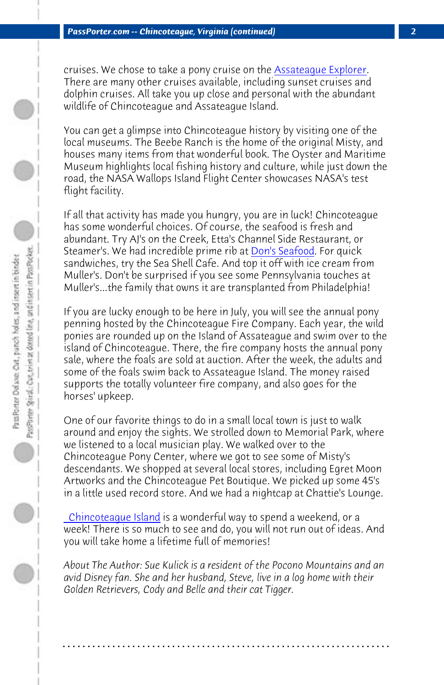*PassPorter.com -- Chincoteague, Virginia (continued) 2*

cruises. We chose to take a pony cruise on the Assateague Explorer. There are many other cruises available, including sunset cruises and dolphin cruises. All take you up close and personal with the abundant wildlife of Chincoteague and Assateague Island.

You can get a glimpse into Chincoteague history by visiting one of the local museums. The Beebe Ranch is the home of the original Misty, and houses many items from that wonderful book. The Oyster and Maritime Museum highlights local fishing history and culture, while just down the road, the NASA Wallops Island Flight Center showcases NASA's test flight facility.

If all that activity has made you hungry, you are in luck! Chincoteague has some wonderful choices. Of course, the seafood is fresh and abundant. Try AJ's on the Creek, Etta's Channel Side Restaurant, or Steamer's. We had incredible prime rib at Don's Seafood. For quick sandwiches, try the Sea Shell Cafe. And top it off with ice cream from Muller's. Don't be surprised if you see some Pennsylvania touches at Muller's...the family that owns it are transplanted from Philadelphia!

[If you are lucky enoug](http://www.chincoteague.com/index.htm)h to be here in July, you will see the annual pony penning hosted by the Chincoteague Fire Company. Each year, the wild ponies are rounded up on the Island of Assateague and swim over to the island of Chincoteague. There, the fire company hosts the annual pony sale, where the foals are sold at auction. After the week, the adults and some of the foals swim back to Assateague Island. The money raised supports the totally volunteer fire company, and also goes for the horses' upkeep.

One of our favorite things to do in a small local town is just to walk around and enjoy the sights. We strolled down to Memorial Park, where we listened to a local musician play. We walked over to the Chincoteague Pony Center, where we got to see some of Misty's descendants. We shopped at several local stores, including Egret Moon Artworks and the Chincoteague Pet Boutique. We picked up some 45's in a little used record store. And we had a nightcap at Chattie's Lounge.

 Chincoteague Island is a wonderful way to spend a weekend, or a week! There is so much to see and do, you will not run out of ideas. And you will take home a lifetime full of memories!

*About The Author: Sue Kulick is a resident of the Pocono Mountains and an avid Disney fan. She and her husband, Steve, live in a log home with their Golden Retrievers, Cody and Belle and their cat Tigger.*

**. . . . . . . . . . . . . . . . . . . . . . . . . . . . . . . . . . . . . . . . . . . . . . . . . . . . . . . . . . . . . . . . . .**